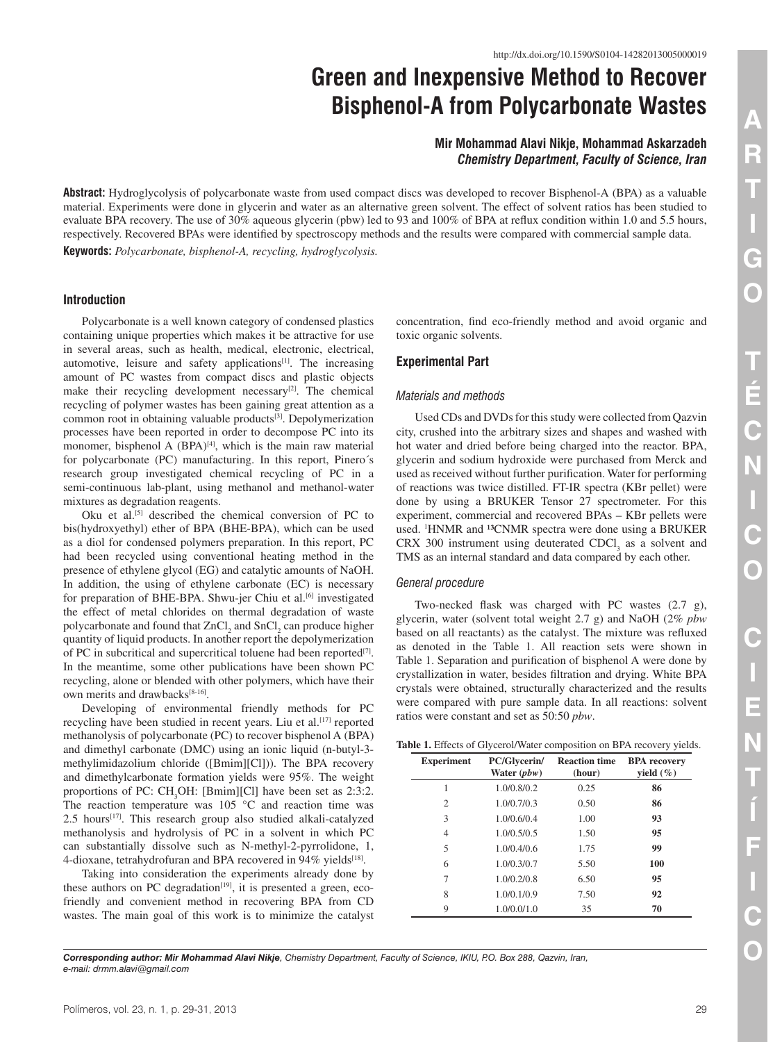# **Green and Inexpensive Method to Recover Bisphenol-A from Polycarbonate Wastes**

## **Mir Mohammad Alavi Nikje, Mohammad Askarzadeh** *Chemistry Department, Faculty of Science, Iran*

**Abstract:** Hydroglycolysis of polycarbonate waste from used compact discs was developed to recover Bisphenol-A (BPA) as a valuable material. Experiments were done in glycerin and water as an alternative green solvent. The effect of solvent ratios has been studied to evaluate BPA recovery. The use of 30% aqueous glycerin (pbw) led to 93 and 100% of BPA at reflux condition within 1.0 and 5.5 hours, respectively. Recovered BPAs were identified by spectroscopy methods and the results were compared with commercial sample data. **Keywords:** *Polycarbonate, bisphenol-A, recycling, hydroglycolysis.*

## **Introduction**

Polycarbonate is a well known category of condensed plastics containing unique properties which makes it be attractive for use in several areas, such as health, medical, electronic, electrical, automotive, leisure and safety applications<sup>[1]</sup>. The increasing amount of PC wastes from compact discs and plastic objects make their recycling development necessary $[2]$ . The chemical recycling of polymer wastes has been gaining great attention as a common root in obtaining valuable products[3]. Depolymerization processes have been reported in order to decompose PC into its monomer, bisphenol A  $(BPA)^{[4]}$ , which is the main raw material for polycarbonate (PC) manufacturing. In this report, Pinero´s research group investigated chemical recycling of PC in a semi-continuous lab-plant, using methanol and methanol-water mixtures as degradation reagents.

Oku et al.[5] described the chemical conversion of PC to bis(hydroxyethyl) ether of BPA (BHE-BPA), which can be used as a diol for condensed polymers preparation. In this report, PC had been recycled using conventional heating method in the presence of ethylene glycol (EG) and catalytic amounts of NaOH. In addition, the using of ethylene carbonate (EC) is necessary for preparation of BHE-BPA. Shwu-jer Chiu et al.<sup>[6]</sup> investigated the effect of metal chlorides on thermal degradation of waste polycarbonate and found that  $ZnCl_2$  and  $SnCl_2$  can produce higher quantity of liquid products. In another report the depolymerization of PC in subcritical and supercritical toluene had been reported[7]. In the meantime, some other publications have been shown PC recycling, alone or blended with other polymers, which have their own merits and drawbacks[8-16].

Developing of environmental friendly methods for PC recycling have been studied in recent years. Liu et al.<sup>[17]</sup> reported methanolysis of polycarbonate (PC) to recover bisphenol A (BPA) and dimethyl carbonate (DMC) using an ionic liquid (n-butyl-3 methylimidazolium chloride ([Bmim][Cl])). The BPA recovery and dimethylcarbonate formation yields were 95%. The weight proportions of PC:  $CH_3OH$ : [Bmim][Cl] have been set as 2:3:2. The reaction temperature was 105 °C and reaction time was 2.5 hours<sup>[17]</sup>. This research group also studied alkali-catalyzed methanolysis and hydrolysis of PC in a solvent in which PC can substantially dissolve such as N-methyl-2-pyrrolidone, 1, 4-dioxane, tetrahydrofuran and BPA recovered in 94% yields<sup>[18]</sup>.

Taking into consideration the experiments already done by these authors on PC degradation $[19]$ , it is presented a green, ecofriendly and convenient method in recovering BPA from CD wastes. The main goal of this work is to minimize the catalyst concentration, find eco-friendly method and avoid organic and toxic organic solvents.

## **Experimental Part**

#### *Materials and methods*

Used CDs and DVDs for this study were collected from Qazvin city, crushed into the arbitrary sizes and shapes and washed with hot water and dried before being charged into the reactor. BPA, glycerin and sodium hydroxide were purchased from Merck and used as received without further purification. Water for performing of reactions was twice distilled. FT-IR spectra (KBr pellet) were done by using a BRUKER Tensor 27 spectrometer. For this experiment, commercial and recovered BPAs – KBr pellets were used. <sup>1</sup>HNMR and <sup>13</sup>CNMR spectra were done using a BRUKER CRX 300 instrument using deuterated  $CDCI<sub>3</sub>$  as a solvent and TMS as an internal standard and data compared by each other.

#### *General procedure*

Two-necked flask was charged with PC wastes (2.7 g), glycerin, water (solvent total weight 2.7 g) and NaOH (2% *pbw* based on all reactants) as the catalyst. The mixture was refluxed as denoted in the Table 1. All reaction sets were shown in Table 1. Separation and purification of bisphenol A were done by crystallization in water, besides filtration and drying. White BPA crystals were obtained, structurally characterized and the results were compared with pure sample data. In all reactions: solvent ratios were constant and set as 50:50 *pbw*.

|  |  |  |  |  | Table 1. Effects of Glycerol/Water composition on BPA recovery yields. |  |  |  |  |
|--|--|--|--|--|------------------------------------------------------------------------|--|--|--|--|
|--|--|--|--|--|------------------------------------------------------------------------|--|--|--|--|

| <b>Experiment</b> | PC/Glycerin/<br>Water $(pbw)$ | <b>Reaction time</b><br>(hour) | <b>BPA</b> recovery<br>yield $(\%)$ |
|-------------------|-------------------------------|--------------------------------|-------------------------------------|
| 1                 | 1.0/0.8/0.2                   | 0.25                           | 86                                  |
| $\overline{c}$    | 1.0/0.7/0.3                   | 0.50                           | 86                                  |
| 3                 | 1.0/0.6/0.4                   | 1.00                           | 93                                  |
| 4                 | 1.0/0.5/0.5                   | 1.50                           | 95                                  |
| 5                 | 1.0/0.4/0.6                   | 1.75                           | 99                                  |
| 6                 | 1.0/0.3/0.7                   | 5.50                           | 100                                 |
| 7                 | 1.0/0.2/0.8                   | 6.50                           | 95                                  |
| 8                 | 1.0/0.1/0.9                   | 7.50                           | 92                                  |
| 9                 | 1.0/0.0/1.0                   | 35                             | 70                                  |

*Corresponding author: Mir Mohammad Alavi Nikje, Chemistry Department, Faculty of Science, IKIU, P.O. Box 288, Qazvin, Iran, e-mail: drmm.alavi@gmail.com*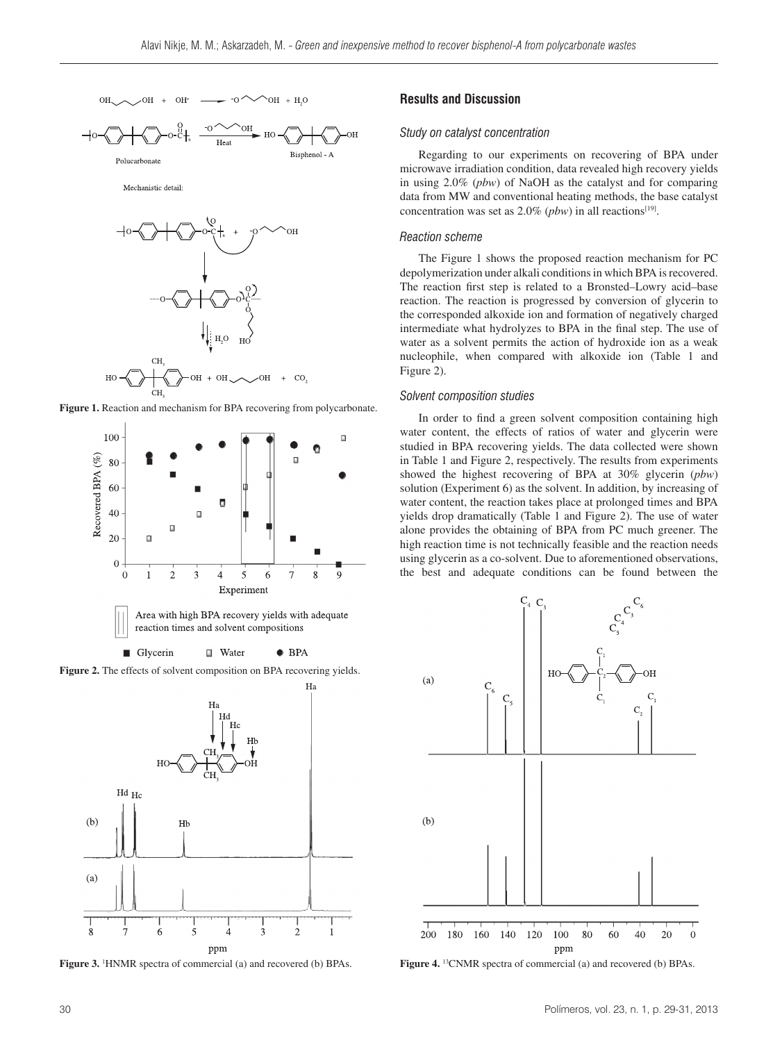

Mechanistic detail









**Figure 3.** <sup>1</sup>HNMR spectra of commercial (a) and recovered (b) BPAs.

## **Results and Discussion**

## *Study on catalyst concentration*

Regarding to our experiments on recovering of BPA under microwave irradiation condition, data revealed high recovery yields in using 2.0% (*pbw*) of NaOH as the catalyst and for comparing data from MW and conventional heating methods, the base catalyst concentration was set as  $2.0\%$  (*pbw*) in all reactions<sup>[19]</sup>.

## *Reaction scheme*

The Figure 1 shows the proposed reaction mechanism for PC depolymerization under alkali conditions in which BPA is recovered. The reaction first step is related to a Bronsted–Lowry acid–base reaction. The reaction is progressed by conversion of glycerin to the corresponded alkoxide ion and formation of negatively charged intermediate what hydrolyzes to BPA in the final step. The use of water as a solvent permits the action of hydroxide ion as a weak nucleophile, when compared with alkoxide ion (Table 1 and Figure 2).

#### *Solvent composition studies*

In order to find a green solvent composition containing high water content, the effects of ratios of water and glycerin were studied in BPA recovering yields. The data collected were shown in Table 1 and Figure 2, respectively. The results from experiments showed the highest recovering of BPA at 30% glycerin (*pbw*) solution (Experiment 6) as the solvent. In addition, by increasing of water content, the reaction takes place at prolonged times and BPA yields drop dramatically (Table 1 and Figure 2). The use of water alone provides the obtaining of BPA from PC much greener. The high reaction time is not technically feasible and the reaction needs using glycerin as a co-solvent. Due to aforementioned observations, the best and adequate conditions can be found between the



Figure 4. <sup>13</sup>CNMR spectra of commercial (a) and recovered (b) BPAs.